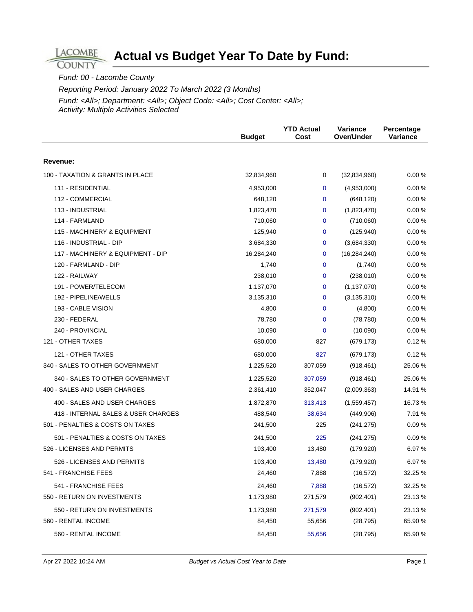## **Actual vs Budget Year To Date by Fund:**

Fund: 00 - Lacombe County

**LACOMBE COUNTY** 

Reporting Period: January 2022 To March 2022 (3 Months)

Fund: <All>; Department: <All>; Object Code: <All>; Cost Center: <All>; Activity: Multiple Activities Selected

|                                     | <b>Budget</b> | <b>YTD Actual</b><br>Cost | Variance<br>Over/Under | Percentage<br><b>Variance</b> |
|-------------------------------------|---------------|---------------------------|------------------------|-------------------------------|
| Revenue:                            |               |                           |                        |                               |
|                                     |               |                           |                        |                               |
| 100 - TAXATION & GRANTS IN PLACE    | 32,834,960    | 0                         | (32, 834, 960)         | 0.00%                         |
| 111 - RESIDENTIAL                   | 4,953,000     | 0                         | (4,953,000)            | 0.00%                         |
| 112 - COMMERCIAL                    | 648,120       | 0                         | (648, 120)             | 0.00%                         |
| 113 - INDUSTRIAL                    | 1,823,470     | 0                         | (1,823,470)            | 0.00%                         |
| 114 - FARMLAND                      | 710,060       | 0                         | (710,060)              | 0.00%                         |
| 115 - MACHINERY & EQUIPMENT         | 125,940       | 0                         | (125, 940)             | 0.00%                         |
| 116 - INDUSTRIAL - DIP              | 3,684,330     | 0                         | (3,684,330)            | 0.00%                         |
| 117 - MACHINERY & EQUIPMENT - DIP   | 16,284,240    | 0                         | (16, 284, 240)         | 0.00%                         |
| 120 - FARMLAND - DIP                | 1,740         | 0                         | (1,740)                | 0.00%                         |
| 122 - RAILWAY                       | 238,010       | 0                         | (238,010)              | 0.00%                         |
| 191 - POWER/TELECOM                 | 1,137,070     | 0                         | (1, 137, 070)          | 0.00%                         |
| 192 - PIPELINE/WELLS                | 3,135,310     | 0                         | (3, 135, 310)          | 0.00%                         |
| 193 - CABLE VISION                  | 4,800         | $\Omega$                  | (4,800)                | 0.00%                         |
| 230 - FEDERAL                       | 78,780        | 0                         | (78, 780)              | 0.00%                         |
| 240 - PROVINCIAL                    | 10,090        | 0                         | (10,090)               | 0.00%                         |
| 121 - OTHER TAXES                   | 680,000       | 827                       | (679, 173)             | 0.12%                         |
| 121 - OTHER TAXES                   | 680,000       | 827                       | (679, 173)             | 0.12%                         |
| 340 - SALES TO OTHER GOVERNMENT     | 1,225,520     | 307,059                   | (918, 461)             | 25.06 %                       |
| 340 - SALES TO OTHER GOVERNMENT     | 1,225,520     | 307,059                   | (918, 461)             | 25.06 %                       |
| 400 - SALES AND USER CHARGES        | 2,361,410     | 352,047                   | (2,009,363)            | 14.91 %                       |
| 400 - SALES AND USER CHARGES        | 1,872,870     | 313,413                   | (1,559,457)            | 16.73 %                       |
| 418 - INTERNAL SALES & USER CHARGES | 488,540       | 38,634                    | (449,906)              | 7.91 %                        |
| 501 - PENALTIES & COSTS ON TAXES    | 241,500       | 225                       | (241, 275)             | 0.09%                         |
| 501 - PENALTIES & COSTS ON TAXES    | 241,500       | 225                       | (241, 275)             | 0.09%                         |
| 526 - LICENSES AND PERMITS          | 193,400       | 13,480                    | (179, 920)             | 6.97 %                        |
| 526 - LICENSES AND PERMITS          | 193,400       | 13,480                    | (179, 920)             | 6.97 %                        |
| 541 - FRANCHISE FEES                | 24,460        | 7,888                     | (16, 572)              | 32.25 %                       |
| 541 - FRANCHISE FEES                | 24,460        | 7,888                     | (16, 572)              | 32.25 %                       |
| 550 - RETURN ON INVESTMENTS         | 1,173,980     | 271,579                   | (902, 401)             | 23.13 %                       |
| 550 - RETURN ON INVESTMENTS         | 1,173,980     | 271,579                   | (902, 401)             | 23.13 %                       |
| 560 - RENTAL INCOME                 | 84,450        | 55,656                    | (28, 795)              | 65.90 %                       |
| 560 - RENTAL INCOME                 | 84,450        | 55,656                    | (28, 795)              | 65.90 %                       |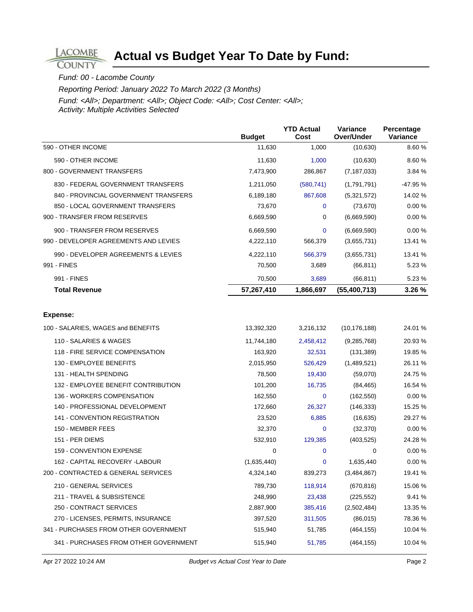## **Actual vs Budget Year To Date by Fund:**

## Fund: 00 - Lacombe County

LACOMBE **COUNTY** 

Reporting Period: January 2022 To March 2022 (3 Months)

Fund: <All>; Department: <All>; Object Code: <All>; Cost Center: <All>; Activity: Multiple Activities Selected

|                                       | <b>Budget</b> | <b>YTD Actual</b><br>Cost | Variance<br>Over/Under | Percentage<br>Variance |
|---------------------------------------|---------------|---------------------------|------------------------|------------------------|
| 590 - OTHER INCOME                    | 11,630        | 1,000                     | (10, 630)              | 8.60%                  |
| 590 - OTHER INCOME                    | 11,630        | 1,000                     | (10,630)               | 8.60 %                 |
| 800 - GOVERNMENT TRANSFERS            | 7,473,900     | 286,867                   | (7, 187, 033)          | 3.84 %                 |
| 830 - FEDERAL GOVERNMENT TRANSFERS    | 1,211,050     | (580, 741)                | (1,791,791)            | -47.95 %               |
| 840 - PROVINCIAL GOVERNMENT TRANSFERS | 6,189,180     | 867,608                   | (5,321,572)            | 14.02 %                |
| 850 - LOCAL GOVERNMENT TRANSFERS      | 73,670        | 0                         | (73, 670)              | 0.00%                  |
| 900 - TRANSFER FROM RESERVES          | 6,669,590     | 0                         | (6,669,590)            | 0.00%                  |
| 900 - TRANSFER FROM RESERVES          | 6,669,590     | $\Omega$                  | (6,669,590)            | 0.00%                  |
| 990 - DEVELOPER AGREEMENTS AND LEVIES | 4,222,110     | 566,379                   | (3,655,731)            | 13.41 %                |
| 990 - DEVELOPER AGREEMENTS & LEVIES   | 4,222,110     | 566,379                   | (3,655,731)            | 13.41 %                |
| 991 - FINES                           | 70,500        | 3,689                     | (66, 811)              | 5.23 %                 |
| 991 - FINES                           | 70,500        | 3,689                     | (66, 811)              | 5.23 %                 |
| <b>Total Revenue</b>                  | 57,267,410    | 1,866,697                 | (55,400,713)           | 3.26 %                 |
|                                       |               |                           |                        |                        |
| <b>Expense:</b>                       |               |                           |                        |                        |
| 100 - SALARIES, WAGES and BENEFITS    | 13,392,320    | 3,216,132                 | (10, 176, 188)         | 24.01 %                |
| 110 - SALARIES & WAGES                | 11,744,180    | 2,458,412                 | (9,285,768)            | 20.93 %                |
| 118 - FIRE SERVICE COMPENSATION       | 163,920       | 32,531                    | (131, 389)             | 19.85 %                |
| 130 - EMPLOYEE BENEFITS               | 2,015,950     | 526,429                   | (1,489,521)            | 26.11 %                |
| 131 - HEALTH SPENDING                 | 78,500        | 19,430                    | (59,070)               | 24.75 %                |
| 132 - EMPLOYEE BENEFIT CONTRIBUTION   | 101,200       | 16,735                    | (84, 465)              | 16.54 %                |
| 136 - WORKERS COMPENSATION            | 162,550       | $\mathbf{0}$              | (162, 550)             | 0.00%                  |
| 140 - PROFESSIONAL DEVELOPMENT        | 172,660       | 26,327                    | (146, 333)             | 15.25 %                |
| 141 - CONVENTION REGISTRATION         | 23,520        | 6,885                     | (16, 635)              | 29.27 %                |
| 150 - MEMBER FEES                     | 32,370        | $\mathbf 0$               | (32, 370)              | 0.00 %                 |
| 151 - PER DIEMS                       | 532,910       | 129,385                   | (403, 525)             | 24.28 %                |
| 159 - CONVENTION EXPENSE              | 0             | $\mathbf{0}$              | $\mathbf 0$            | 0.00%                  |
| 162 - CAPITAL RECOVERY -LABOUR        | (1,635,440)   | 0                         | 1,635,440              | 0.00%                  |
| 200 - CONTRACTED & GENERAL SERVICES   | 4,324,140     | 839,273                   | (3,484,867)            | 19.41 %                |
| 210 - GENERAL SERVICES                | 789,730       | 118,914                   | (670, 816)             | 15.06 %                |
| 211 - TRAVEL & SUBSISTENCE            | 248,990       | 23,438                    | (225, 552)             | 9.41 %                 |
| 250 - CONTRACT SERVICES               | 2,887,900     | 385,416                   | (2,502,484)            | 13.35 %                |
| 270 - LICENSES, PERMITS, INSURANCE    | 397,520       | 311,505                   | (86, 015)              | 78.36 %                |
| 341 - PURCHASES FROM OTHER GOVERNMENT | 515,940       | 51,785                    | (464, 155)             | 10.04 %                |
| 341 - PURCHASES FROM OTHER GOVERNMENT | 515,940       | 51,785                    | (464, 155)             | 10.04 %                |